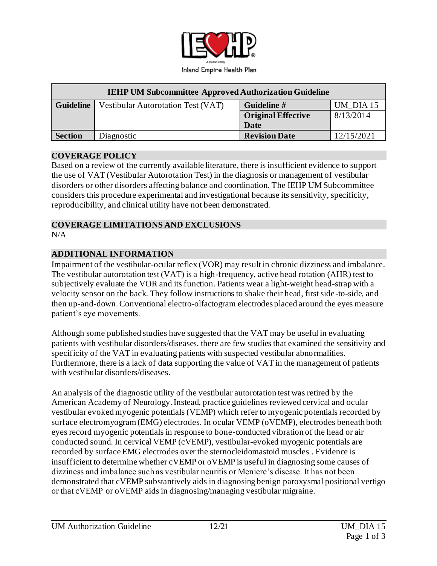

| <b>IEHP UM Subcommittee Approved Authorization Guideline</b> |                                           |                           |            |
|--------------------------------------------------------------|-------------------------------------------|---------------------------|------------|
| <b>Guideline</b>                                             | <b>Vestibular Autorotation Test (VAT)</b> | Guideline #               | UM DIA 15  |
|                                                              |                                           | <b>Original Effective</b> | 8/13/2014  |
|                                                              |                                           | Date                      |            |
| <b>Section</b>                                               | Diagnostic                                | <b>Revision Date</b>      | 12/15/2021 |

#### **COVERAGE POLICY**

Based on a review of the currently available literature, there is insufficient evidence to support the use of VAT (Vestibular Autorotation Test) in the diagnosis or management of vestibular disorders or other disorders affecting balance and coordination. The IEHP UM Subcommittee considers this procedure experimental and investigational because its sensitivity, specificity, reproducibility, and clinical utility have not been demonstrated.

#### **COVERAGE LIMITATIONS AND EXCLUSIONS**  $N/A$

#### **ADDITIONAL INFORMATION**

Impairment of the vestibular-ocular reflex (VOR) may result in chronic dizziness and imbalance. The vestibular autorotation test (VAT) is a high-frequency, active head rotation (AHR) test to subjectively evaluate the VOR and its function. Patients wear a light-weight head-strap with a velocity sensor on the back. They follow instructions to shake their head, first side-to-side, and then up-and-down. Conventional electro-olfactogram electrodes placed around the eyes measure patient's eye movements.

Although some published studies have suggested that the VAT may be useful in evaluating patients with vestibular disorders/diseases, there are few studies that examined the sensitivity and specificity of the VAT in evaluating patients with suspected vestibular abnormalities. Furthermore, there is a lack of data supporting the value of VAT in the management of patients with vestibular disorders/diseases.

An analysis of the diagnostic utility of the vestibular autorotation test was retired by the American Academy of Neurology. Instead, practice guidelines reviewed cervical and ocular vestibular evoked myogenic potentials (VEMP) which refer to myogenic potentials recorded by surface electromyogram (EMG) electrodes. In ocular VEMP (oVEMP), electrodes beneath both eyes record myogenic potentials in response to bone-conducted vibration of the head or air conducted sound. In cervical VEMP (cVEMP), vestibular-evoked myogenic potentials are recorded by surface EMG electrodes over the sternocleidomastoid muscles . Evidence is insufficient to determine whether cVEMP or oVEMP is useful in diagnosing some causes of dizziness and imbalance such as vestibular neuritis or Meniere's disease. It has not been demonstrated that cVEMP substantively aids in diagnosing benign paroxysmal positional vertigo or that cVEMP or oVEMP aids in diagnosing/managing vestibular migraine.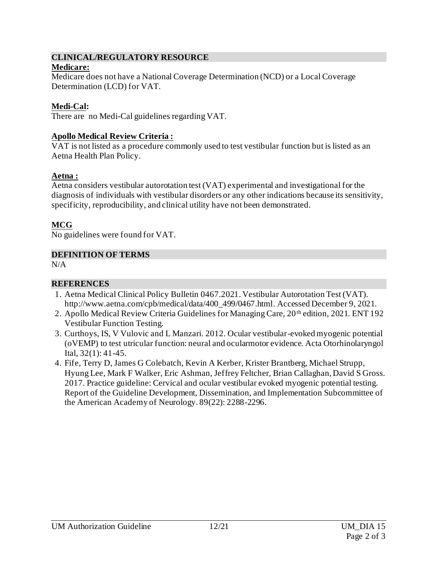## **CLINICAL/REGULATORY RESOURCE**

#### **Medicare:**

Medicare does not have a National Coverage Determination (NCD) or a Local Coverage Determination (LCD) for VAT.

## **Medi-Cal:**

There are no Medi-Cal guidelines regarding VAT.

### **Apollo Medical Review Criteria :**

VAT is not listed as a procedure commonly used to test vestibular function but is listed as an Aetna Health Plan Policy.

# **Aetna :**

Aetna considers vestibular autorotation test (VAT) experimental and investigational for the diagnosis of individuals with vestibular disorders or any other indications because its sensitivity, specificity, reproducibility, and clinical utility have not been demonstrated.

# **MCG**

No guidelines were found for VAT.

### **DEFINITION OF TERMS**

N/A

### **REFERENCES**

- 1. Aetna Medical Clinical Policy Bulletin 0467.2021. Vestibular Autorotation Test (VAT). [http://www.aetna.com/cpb/medical/data/400\\_499/0467.html](http://www.aetna.com/cpb/medical/data/400_499/0467.html). Accessed December 9, 2021.
- 2. Apollo Medical Review Criteria Guidelines for Managing Care, 20<sup>th</sup> edition, 2021. ENT 192 Vestibular Function Testing.
- 3. Curthoys, IS, V Vulovic and L Manzari. 2012. Ocular vestibular-evoked myogenic potential (oVEMP) to test utricular function: neural and ocularmotor evidence. Acta Otorhinolaryngol Ital, 32(1): 41-45.
- 4. Fife, Terry D, James G Colebatch, Kevin A Kerber, Krister Brantberg, Michael Strupp, Hyung Lee, Mark F Walker, Eric Ashman, Jeffrey Feltcher, Brian Callaghan, David S Gross. 2017. Practice guideline: Cervical and ocular vestibular evoked myogenic potential testing. Report of the Guideline Development, Dissemination, and Implementation Subcommittee of the American Academy of Neurology. 89(22): 2288-2296.